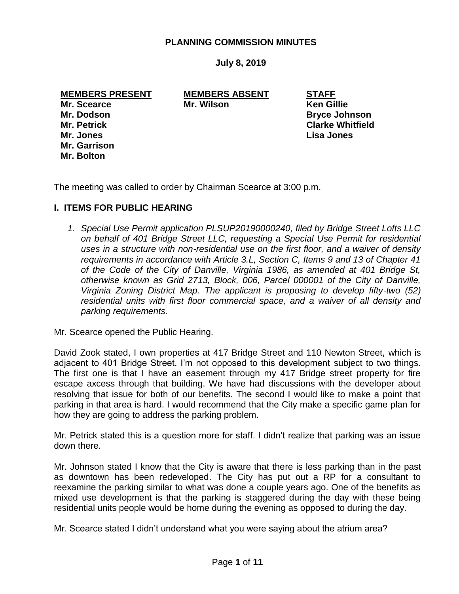## **PLANNING COMMISSION MINUTES**

**July 8, 2019**

**MEMBERS PRESENT MEMBERS ABSENT STAFF**

**Mr. Jones Lisa Jones Mr. Garrison Mr. Bolton**

**Mr. Scearce Mr. Wilson Ken Gillie**

**Mr. Dodson Bryce Johnson Mr. Petrick Clarke Whitfield**

The meeting was called to order by Chairman Scearce at 3:00 p.m.

## **I. ITEMS FOR PUBLIC HEARING**

*1. Special Use Permit application PLSUP20190000240, filed by Bridge Street Lofts LLC on behalf of 401 Bridge Street LLC, requesting a Special Use Permit for residential uses in a structure with non-residential use on the first floor, and a waiver of density requirements in accordance with Article 3.L, Section C, Items 9 and 13 of Chapter 41 of the Code of the City of Danville, Virginia 1986, as amended at 401 Bridge St, otherwise known as Grid 2713, Block, 006, Parcel 000001 of the City of Danville, Virginia Zoning District Map. The applicant is proposing to develop fifty-two (52) residential units with first floor commercial space, and a waiver of all density and parking requirements.* 

Mr. Scearce opened the Public Hearing.

David Zook stated, I own properties at 417 Bridge Street and 110 Newton Street, which is adjacent to 401 Bridge Street. I'm not opposed to this development subject to two things. The first one is that I have an easement through my 417 Bridge street property for fire escape axcess through that building. We have had discussions with the developer about resolving that issue for both of our benefits. The second I would like to make a point that parking in that area is hard. I would recommend that the City make a specific game plan for how they are going to address the parking problem.

Mr. Petrick stated this is a question more for staff. I didn't realize that parking was an issue down there.

Mr. Johnson stated I know that the City is aware that there is less parking than in the past as downtown has been redeveloped. The City has put out a RP for a consultant to reexamine the parking similar to what was done a couple years ago. One of the benefits as mixed use development is that the parking is staggered during the day with these being residential units people would be home during the evening as opposed to during the day.

Mr. Scearce stated I didn't understand what you were saying about the atrium area?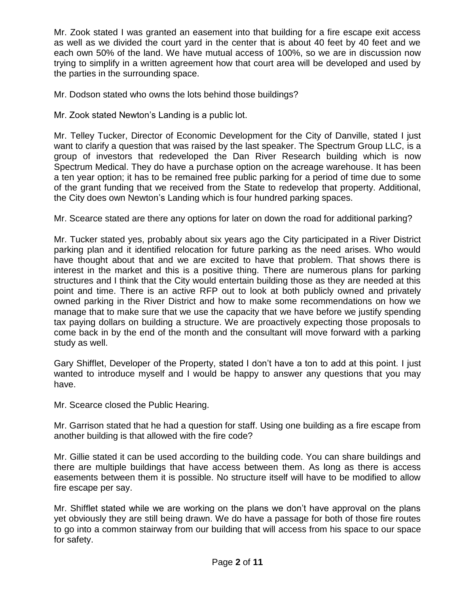Mr. Zook stated I was granted an easement into that building for a fire escape exit access as well as we divided the court yard in the center that is about 40 feet by 40 feet and we each own 50% of the land. We have mutual access of 100%, so we are in discussion now trying to simplify in a written agreement how that court area will be developed and used by the parties in the surrounding space.

Mr. Dodson stated who owns the lots behind those buildings?

Mr. Zook stated Newton's Landing is a public lot.

Mr. Telley Tucker, Director of Economic Development for the City of Danville, stated I just want to clarify a question that was raised by the last speaker. The Spectrum Group LLC, is a group of investors that redeveloped the Dan River Research building which is now Spectrum Medical. They do have a purchase option on the acreage warehouse. It has been a ten year option; it has to be remained free public parking for a period of time due to some of the grant funding that we received from the State to redevelop that property. Additional, the City does own Newton's Landing which is four hundred parking spaces.

Mr. Scearce stated are there any options for later on down the road for additional parking?

Mr. Tucker stated yes, probably about six years ago the City participated in a River District parking plan and it identified relocation for future parking as the need arises. Who would have thought about that and we are excited to have that problem. That shows there is interest in the market and this is a positive thing. There are numerous plans for parking structures and I think that the City would entertain building those as they are needed at this point and time. There is an active RFP out to look at both publicly owned and privately owned parking in the River District and how to make some recommendations on how we manage that to make sure that we use the capacity that we have before we justify spending tax paying dollars on building a structure. We are proactively expecting those proposals to come back in by the end of the month and the consultant will move forward with a parking study as well.

Gary Shifflet, Developer of the Property, stated I don't have a ton to add at this point. I just wanted to introduce myself and I would be happy to answer any questions that you may have.

Mr. Scearce closed the Public Hearing.

Mr. Garrison stated that he had a question for staff. Using one building as a fire escape from another building is that allowed with the fire code?

Mr. Gillie stated it can be used according to the building code. You can share buildings and there are multiple buildings that have access between them. As long as there is access easements between them it is possible. No structure itself will have to be modified to allow fire escape per say.

Mr. Shifflet stated while we are working on the plans we don't have approval on the plans yet obviously they are still being drawn. We do have a passage for both of those fire routes to go into a common stairway from our building that will access from his space to our space for safety.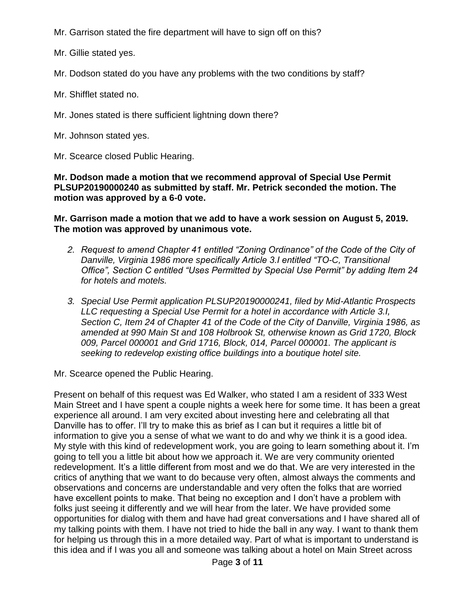Mr. Garrison stated the fire department will have to sign off on this?

Mr. Gillie stated yes.

Mr. Dodson stated do you have any problems with the two conditions by staff?

Mr. Shifflet stated no.

Mr. Jones stated is there sufficient lightning down there?

Mr. Johnson stated yes.

Mr. Scearce closed Public Hearing.

**Mr. Dodson made a motion that we recommend approval of Special Use Permit PLSUP20190000240 as submitted by staff. Mr. Petrick seconded the motion. The motion was approved by a 6-0 vote.** 

## **Mr. Garrison made a motion that we add to have a work session on August 5, 2019. The motion was approved by unanimous vote.**

- *2. Request to amend Chapter 41 entitled "Zoning Ordinance" of the Code of the City of Danville, Virginia 1986 more specifically Article 3.I entitled "TO-C, Transitional Office", Section C entitled "Uses Permitted by Special Use Permit" by adding Item 24 for hotels and motels.*
- *3. Special Use Permit application PLSUP20190000241, filed by Mid-Atlantic Prospects LLC requesting a Special Use Permit for a hotel in accordance with Article 3.I, Section C, Item 24 of Chapter 41 of the Code of the City of Danville, Virginia 1986, as amended at 990 Main St and 108 Holbrook St, otherwise known as Grid 1720, Block 009, Parcel 000001 and Grid 1716, Block, 014, Parcel 000001. The applicant is seeking to redevelop existing office buildings into a boutique hotel site.*

Mr. Scearce opened the Public Hearing.

Present on behalf of this request was Ed Walker, who stated I am a resident of 333 West Main Street and I have spent a couple nights a week here for some time. It has been a great experience all around. I am very excited about investing here and celebrating all that Danville has to offer. I'll try to make this as brief as I can but it requires a little bit of information to give you a sense of what we want to do and why we think it is a good idea. My style with this kind of redevelopment work, you are going to learn something about it. I'm going to tell you a little bit about how we approach it. We are very community oriented redevelopment. It's a little different from most and we do that. We are very interested in the critics of anything that we want to do because very often, almost always the comments and observations and concerns are understandable and very often the folks that are worried have excellent points to make. That being no exception and I don't have a problem with folks just seeing it differently and we will hear from the later. We have provided some opportunities for dialog with them and have had great conversations and I have shared all of my talking points with them. I have not tried to hide the ball in any way. I want to thank them for helping us through this in a more detailed way. Part of what is important to understand is this idea and if I was you all and someone was talking about a hotel on Main Street across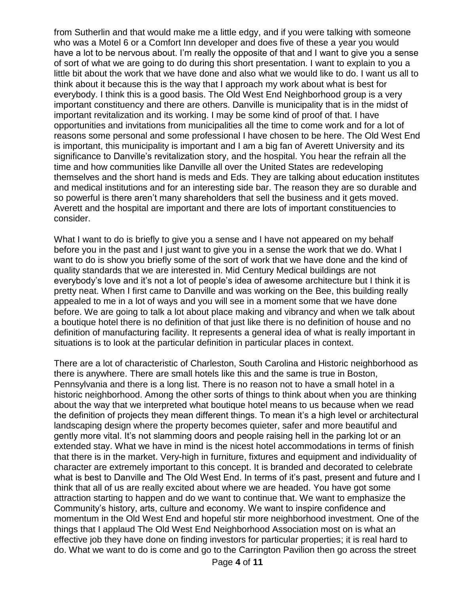from Sutherlin and that would make me a little edgy, and if you were talking with someone who was a Motel 6 or a Comfort Inn developer and does five of these a year you would have a lot to be nervous about. I'm really the opposite of that and I want to give you a sense of sort of what we are going to do during this short presentation. I want to explain to you a little bit about the work that we have done and also what we would like to do. I want us all to think about it because this is the way that I approach my work about what is best for everybody. I think this is a good basis. The Old West End Neighborhood group is a very important constituency and there are others. Danville is municipality that is in the midst of important revitalization and its working. I may be some kind of proof of that. I have opportunities and invitations from municipalities all the time to come work and for a lot of reasons some personal and some professional I have chosen to be here. The Old West End is important, this municipality is important and I am a big fan of Averett University and its significance to Danville's revitalization story, and the hospital. You hear the refrain all the time and how communities like Danville all over the United States are redeveloping themselves and the short hand is meds and Eds. They are talking about education institutes and medical institutions and for an interesting side bar. The reason they are so durable and so powerful is there aren't many shareholders that sell the business and it gets moved. Averett and the hospital are important and there are lots of important constituencies to consider.

What I want to do is briefly to give you a sense and I have not appeared on my behalf before you in the past and I just want to give you in a sense the work that we do. What I want to do is show you briefly some of the sort of work that we have done and the kind of quality standards that we are interested in. Mid Century Medical buildings are not everybody's love and it's not a lot of people's idea of awesome architecture but I think it is pretty neat. When I first came to Danville and was working on the Bee, this building really appealed to me in a lot of ways and you will see in a moment some that we have done before. We are going to talk a lot about place making and vibrancy and when we talk about a boutique hotel there is no definition of that just like there is no definition of house and no definition of manufacturing facility. It represents a general idea of what is really important in situations is to look at the particular definition in particular places in context.

There are a lot of characteristic of Charleston, South Carolina and Historic neighborhood as there is anywhere. There are small hotels like this and the same is true in Boston, Pennsylvania and there is a long list. There is no reason not to have a small hotel in a historic neighborhood. Among the other sorts of things to think about when you are thinking about the way that we interpreted what boutique hotel means to us because when we read the definition of projects they mean different things. To mean it's a high level or architectural landscaping design where the property becomes quieter, safer and more beautiful and gently more vital. It's not slamming doors and people raising hell in the parking lot or an extended stay. What we have in mind is the nicest hotel accommodations in terms of finish that there is in the market. Very-high in furniture, fixtures and equipment and individuality of character are extremely important to this concept. It is branded and decorated to celebrate what is best to Danville and The Old West End. In terms of it's past, present and future and I think that all of us are really excited about where we are headed. You have got some attraction starting to happen and do we want to continue that. We want to emphasize the Community's history, arts, culture and economy. We want to inspire confidence and momentum in the Old West End and hopeful stir more neighborhood investment. One of the things that I applaud The Old West End Neighborhood Association most on is what an effective job they have done on finding investors for particular properties; it is real hard to do. What we want to do is come and go to the Carrington Pavilion then go across the street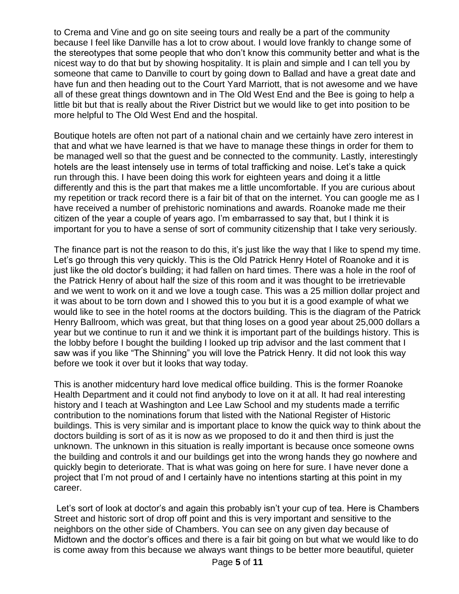to Crema and Vine and go on site seeing tours and really be a part of the community because I feel like Danville has a lot to crow about. I would love frankly to change some of the stereotypes that some people that who don't know this community better and what is the nicest way to do that but by showing hospitality. It is plain and simple and I can tell you by someone that came to Danville to court by going down to Ballad and have a great date and have fun and then heading out to the Court Yard Marriott, that is not awesome and we have all of these great things downtown and in The Old West End and the Bee is going to help a little bit but that is really about the River District but we would like to get into position to be more helpful to The Old West End and the hospital.

Boutique hotels are often not part of a national chain and we certainly have zero interest in that and what we have learned is that we have to manage these things in order for them to be managed well so that the guest and be connected to the community. Lastly, interestingly hotels are the least intensely use in terms of total trafficking and noise. Let's take a quick run through this. I have been doing this work for eighteen years and doing it a little differently and this is the part that makes me a little uncomfortable. If you are curious about my repetition or track record there is a fair bit of that on the internet. You can google me as I have received a number of prehistoric nominations and awards. Roanoke made me their citizen of the year a couple of years ago. I'm embarrassed to say that, but I think it is important for you to have a sense of sort of community citizenship that I take very seriously.

The finance part is not the reason to do this, it's just like the way that I like to spend my time. Let's go through this very quickly. This is the Old Patrick Henry Hotel of Roanoke and it is just like the old doctor's building; it had fallen on hard times. There was a hole in the roof of the Patrick Henry of about half the size of this room and it was thought to be irretrievable and we went to work on it and we love a tough case. This was a 25 million dollar project and it was about to be torn down and I showed this to you but it is a good example of what we would like to see in the hotel rooms at the doctors building. This is the diagram of the Patrick Henry Ballroom, which was great, but that thing loses on a good year about 25,000 dollars a year but we continue to run it and we think it is important part of the buildings history. This is the lobby before I bought the building I looked up trip advisor and the last comment that I saw was if you like "The Shinning" you will love the Patrick Henry. It did not look this way before we took it over but it looks that way today.

This is another midcentury hard love medical office building. This is the former Roanoke Health Department and it could not find anybody to love on it at all. It had real interesting history and I teach at Washington and Lee Law School and my students made a terrific contribution to the nominations forum that listed with the National Register of Historic buildings. This is very similar and is important place to know the quick way to think about the doctors building is sort of as it is now as we proposed to do it and then third is just the unknown. The unknown in this situation is really important is because once someone owns the building and controls it and our buildings get into the wrong hands they go nowhere and quickly begin to deteriorate. That is what was going on here for sure. I have never done a project that I'm not proud of and I certainly have no intentions starting at this point in my career.

Let's sort of look at doctor's and again this probably isn't your cup of tea. Here is Chambers Street and historic sort of drop off point and this is very important and sensitive to the neighbors on the other side of Chambers. You can see on any given day because of Midtown and the doctor's offices and there is a fair bit going on but what we would like to do is come away from this because we always want things to be better more beautiful, quieter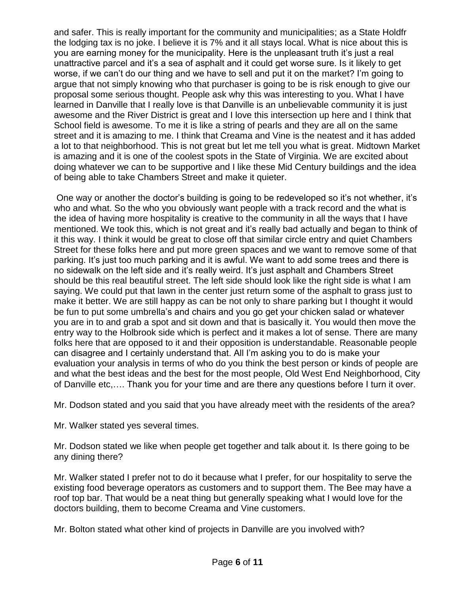and safer. This is really important for the community and municipalities; as a State Holdfr the lodging tax is no joke. I believe it is 7% and it all stays local. What is nice about this is you are earning money for the municipality. Here is the unpleasant truth it's just a real unattractive parcel and it's a sea of asphalt and it could get worse sure. Is it likely to get worse, if we can't do our thing and we have to sell and put it on the market? I'm going to argue that not simply knowing who that purchaser is going to be is risk enough to give our proposal some serious thought. People ask why this was interesting to you. What I have learned in Danville that I really love is that Danville is an unbelievable community it is just awesome and the River District is great and I love this intersection up here and I think that School field is awesome. To me it is like a string of pearls and they are all on the same street and it is amazing to me. I think that Creama and Vine is the neatest and it has added a lot to that neighborhood. This is not great but let me tell you what is great. Midtown Market is amazing and it is one of the coolest spots in the State of Virginia. We are excited about doing whatever we can to be supportive and I like these Mid Century buildings and the idea of being able to take Chambers Street and make it quieter.

One way or another the doctor's building is going to be redeveloped so it's not whether, it's who and what. So the who you obviously want people with a track record and the what is the idea of having more hospitality is creative to the community in all the ways that I have mentioned. We took this, which is not great and it's really bad actually and began to think of it this way. I think it would be great to close off that similar circle entry and quiet Chambers Street for these folks here and put more green spaces and we want to remove some of that parking. It's just too much parking and it is awful. We want to add some trees and there is no sidewalk on the left side and it's really weird. It's just asphalt and Chambers Street should be this real beautiful street. The left side should look like the right side is what I am saying. We could put that lawn in the center just return some of the asphalt to grass just to make it better. We are still happy as can be not only to share parking but I thought it would be fun to put some umbrella's and chairs and you go get your chicken salad or whatever you are in to and grab a spot and sit down and that is basically it. You would then move the entry way to the Holbrook side which is perfect and it makes a lot of sense. There are many folks here that are opposed to it and their opposition is understandable. Reasonable people can disagree and I certainly understand that. All I'm asking you to do is make your evaluation your analysis in terms of who do you think the best person or kinds of people are and what the best ideas and the best for the most people, Old West End Neighborhood, City of Danville etc,…. Thank you for your time and are there any questions before I turn it over.

Mr. Dodson stated and you said that you have already meet with the residents of the area?

Mr. Walker stated yes several times.

Mr. Dodson stated we like when people get together and talk about it. Is there going to be any dining there?

Mr. Walker stated I prefer not to do it because what I prefer, for our hospitality to serve the existing food beverage operators as customers and to support them. The Bee may have a roof top bar. That would be a neat thing but generally speaking what I would love for the doctors building, them to become Creama and Vine customers.

Mr. Bolton stated what other kind of projects in Danville are you involved with?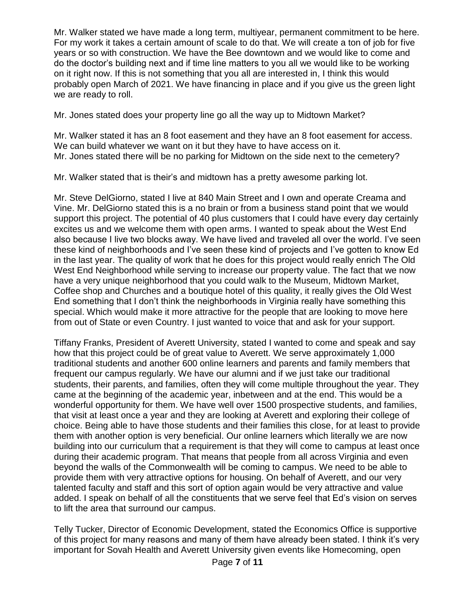Mr. Walker stated we have made a long term, multiyear, permanent commitment to be here. For my work it takes a certain amount of scale to do that. We will create a ton of job for five years or so with construction. We have the Bee downtown and we would like to come and do the doctor's building next and if time line matters to you all we would like to be working on it right now. If this is not something that you all are interested in, I think this would probably open March of 2021. We have financing in place and if you give us the green light we are ready to roll.

Mr. Jones stated does your property line go all the way up to Midtown Market?

Mr. Walker stated it has an 8 foot easement and they have an 8 foot easement for access. We can build whatever we want on it but they have to have access on it. Mr. Jones stated there will be no parking for Midtown on the side next to the cemetery?

Mr. Walker stated that is their's and midtown has a pretty awesome parking lot.

Mr. Steve DelGiorno, stated I live at 840 Main Street and I own and operate Creama and Vine. Mr. DelGiorno stated this is a no brain or from a business stand point that we would support this project. The potential of 40 plus customers that I could have every day certainly excites us and we welcome them with open arms. I wanted to speak about the West End also because I live two blocks away. We have lived and traveled all over the world. I've seen these kind of neighborhoods and I've seen these kind of projects and I've gotten to know Ed in the last year. The quality of work that he does for this project would really enrich The Old West End Neighborhood while serving to increase our property value. The fact that we now have a very unique neighborhood that you could walk to the Museum, Midtown Market, Coffee shop and Churches and a boutique hotel of this quality, it really gives the Old West End something that I don't think the neighborhoods in Virginia really have something this special. Which would make it more attractive for the people that are looking to move here from out of State or even Country. I just wanted to voice that and ask for your support.

Tiffany Franks, President of Averett University, stated I wanted to come and speak and say how that this project could be of great value to Averett. We serve approximately 1,000 traditional students and another 600 online learners and parents and family members that frequent our campus regularly. We have our alumni and if we just take our traditional students, their parents, and families, often they will come multiple throughout the year. They came at the beginning of the academic year, inbetween and at the end. This would be a wonderful opportunity for them. We have well over 1500 prospective students, and families, that visit at least once a year and they are looking at Averett and exploring their college of choice. Being able to have those students and their families this close, for at least to provide them with another option is very beneficial. Our online learners which literally we are now building into our curriculum that a requirement is that they will come to campus at least once during their academic program. That means that people from all across Virginia and even beyond the walls of the Commonwealth will be coming to campus. We need to be able to provide them with very attractive options for housing. On behalf of Averett, and our very talented faculty and staff and this sort of option again would be very attractive and value added. I speak on behalf of all the constituents that we serve feel that Ed's vision on serves to lift the area that surround our campus.

Telly Tucker, Director of Economic Development, stated the Economics Office is supportive of this project for many reasons and many of them have already been stated. I think it's very important for Sovah Health and Averett University given events like Homecoming, open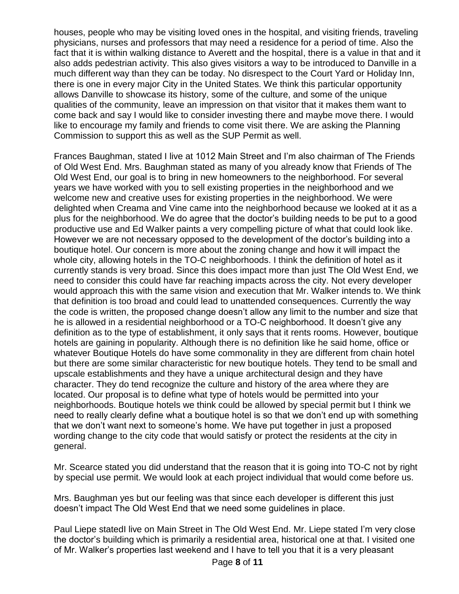houses, people who may be visiting loved ones in the hospital, and visiting friends, traveling physicians, nurses and professors that may need a residence for a period of time. Also the fact that it is within walking distance to Averett and the hospital, there is a value in that and it also adds pedestrian activity. This also gives visitors a way to be introduced to Danville in a much different way than they can be today. No disrespect to the Court Yard or Holiday Inn, there is one in every major City in the United States. We think this particular opportunity allows Danville to showcase its history, some of the culture, and some of the unique qualities of the community, leave an impression on that visitor that it makes them want to come back and say I would like to consider investing there and maybe move there. I would like to encourage my family and friends to come visit there. We are asking the Planning Commission to support this as well as the SUP Permit as well.

Frances Baughman, stated I live at 1012 Main Street and I'm also chairman of The Friends of Old West End. Mrs. Baughman stated as many of you already know that Friends of The Old West End, our goal is to bring in new homeowners to the neighborhood. For several years we have worked with you to sell existing properties in the neighborhood and we welcome new and creative uses for existing properties in the neighborhood. We were delighted when Creama and Vine came into the neighborhood because we looked at it as a plus for the neighborhood. We do agree that the doctor's building needs to be put to a good productive use and Ed Walker paints a very compelling picture of what that could look like. However we are not necessary opposed to the development of the doctor's building into a boutique hotel. Our concern is more about the zoning change and how it will impact the whole city, allowing hotels in the TO-C neighborhoods. I think the definition of hotel as it currently stands is very broad. Since this does impact more than just The Old West End, we need to consider this could have far reaching impacts across the city. Not every developer would approach this with the same vision and execution that Mr. Walker intends to. We think that definition is too broad and could lead to unattended consequences. Currently the way the code is written, the proposed change doesn't allow any limit to the number and size that he is allowed in a residential neighborhood or a TO-C neighborhood. It doesn't give any definition as to the type of establishment, it only says that it rents rooms. However, boutique hotels are gaining in popularity. Although there is no definition like he said home, office or whatever Boutique Hotels do have some commonality in they are different from chain hotel but there are some similar characteristic for new boutique hotels. They tend to be small and upscale establishments and they have a unique architectural design and they have character. They do tend recognize the culture and history of the area where they are located. Our proposal is to define what type of hotels would be permitted into your neighborhoods. Boutique hotels we think could be allowed by special permit but I think we need to really clearly define what a boutique hotel is so that we don't end up with something that we don't want next to someone's home. We have put together in just a proposed wording change to the city code that would satisfy or protect the residents at the city in general.

Mr. Scearce stated you did understand that the reason that it is going into TO-C not by right by special use permit. We would look at each project individual that would come before us.

Mrs. Baughman yes but our feeling was that since each developer is different this just doesn't impact The Old West End that we need some guidelines in place.

Paul Liepe statedI live on Main Street in The Old West End. Mr. Liepe stated I'm very close the doctor's building which is primarily a residential area, historical one at that. I visited one of Mr. Walker's properties last weekend and I have to tell you that it is a very pleasant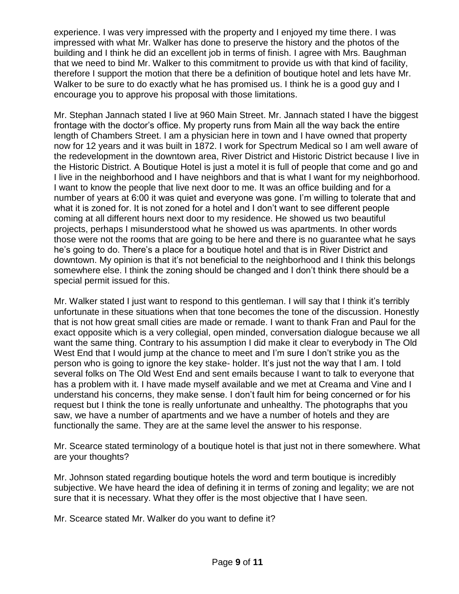experience. I was very impressed with the property and I enjoyed my time there. I was impressed with what Mr. Walker has done to preserve the history and the photos of the building and I think he did an excellent job in terms of finish. I agree with Mrs. Baughman that we need to bind Mr. Walker to this commitment to provide us with that kind of facility, therefore I support the motion that there be a definition of boutique hotel and lets have Mr. Walker to be sure to do exactly what he has promised us. I think he is a good guy and I encourage you to approve his proposal with those limitations.

Mr. Stephan Jannach stated I live at 960 Main Street. Mr. Jannach stated I have the biggest frontage with the doctor's office. My property runs from Main all the way back the entire length of Chambers Street. I am a physician here in town and I have owned that property now for 12 years and it was built in 1872. I work for Spectrum Medical so I am well aware of the redevelopment in the downtown area, River District and Historic District because I live in the Historic District. A Boutique Hotel is just a motel it is full of people that come and go and I live in the neighborhood and I have neighbors and that is what I want for my neighborhood. I want to know the people that live next door to me. It was an office building and for a number of years at 6:00 it was quiet and everyone was gone. I'm willing to tolerate that and what it is zoned for. It is not zoned for a hotel and I don't want to see different people coming at all different hours next door to my residence. He showed us two beautiful projects, perhaps I misunderstood what he showed us was apartments. In other words those were not the rooms that are going to be here and there is no guarantee what he says he's going to do. There's a place for a boutique hotel and that is in River District and downtown. My opinion is that it's not beneficial to the neighborhood and I think this belongs somewhere else. I think the zoning should be changed and I don't think there should be a special permit issued for this.

Mr. Walker stated I just want to respond to this gentleman. I will say that I think it's terribly unfortunate in these situations when that tone becomes the tone of the discussion. Honestly that is not how great small cities are made or remade. I want to thank Fran and Paul for the exact opposite which is a very collegial, open minded, conversation dialogue because we all want the same thing. Contrary to his assumption I did make it clear to everybody in The Old West End that I would jump at the chance to meet and I'm sure I don't strike you as the person who is going to ignore the key stake- holder. It's just not the way that I am. I told several folks on The Old West End and sent emails because I want to talk to everyone that has a problem with it. I have made myself available and we met at Creama and Vine and I understand his concerns, they make sense. I don't fault him for being concerned or for his request but I think the tone is really unfortunate and unhealthy. The photographs that you saw, we have a number of apartments and we have a number of hotels and they are functionally the same. They are at the same level the answer to his response.

Mr. Scearce stated terminology of a boutique hotel is that just not in there somewhere. What are your thoughts?

Mr. Johnson stated regarding boutique hotels the word and term boutique is incredibly subjective. We have heard the idea of defining it in terms of zoning and legality; we are not sure that it is necessary. What they offer is the most objective that I have seen.

Mr. Scearce stated Mr. Walker do you want to define it?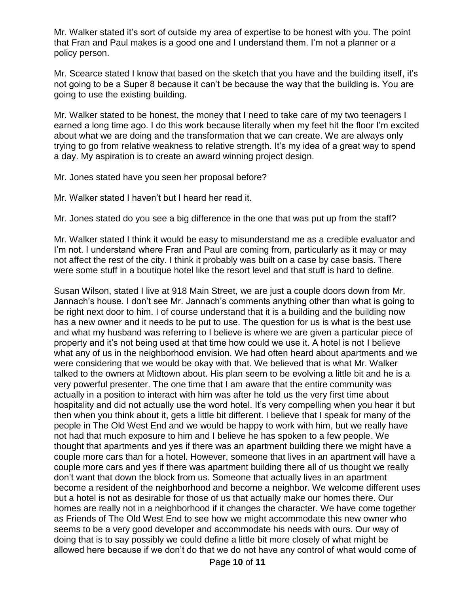Mr. Walker stated it's sort of outside my area of expertise to be honest with you. The point that Fran and Paul makes is a good one and I understand them. I'm not a planner or a policy person.

Mr. Scearce stated I know that based on the sketch that you have and the building itself, it's not going to be a Super 8 because it can't be because the way that the building is. You are going to use the existing building.

Mr. Walker stated to be honest, the money that I need to take care of my two teenagers I earned a long time ago. I do this work because literally when my feet hit the floor I'm excited about what we are doing and the transformation that we can create. We are always only trying to go from relative weakness to relative strength. It's my idea of a great way to spend a day. My aspiration is to create an award winning project design.

Mr. Jones stated have you seen her proposal before?

Mr. Walker stated I haven't but I heard her read it.

Mr. Jones stated do you see a big difference in the one that was put up from the staff?

Mr. Walker stated I think it would be easy to misunderstand me as a credible evaluator and I'm not. I understand where Fran and Paul are coming from, particularly as it may or may not affect the rest of the city. I think it probably was built on a case by case basis. There were some stuff in a boutique hotel like the resort level and that stuff is hard to define.

Susan Wilson, stated I live at 918 Main Street, we are just a couple doors down from Mr. Jannach's house. I don't see Mr. Jannach's comments anything other than what is going to be right next door to him. I of course understand that it is a building and the building now has a new owner and it needs to be put to use. The question for us is what is the best use and what my husband was referring to I believe is where we are given a particular piece of property and it's not being used at that time how could we use it. A hotel is not I believe what any of us in the neighborhood envision. We had often heard about apartments and we were considering that we would be okay with that. We believed that is what Mr. Walker talked to the owners at Midtown about. His plan seem to be evolving a little bit and he is a very powerful presenter. The one time that I am aware that the entire community was actually in a position to interact with him was after he told us the very first time about hospitality and did not actually use the word hotel. It's very compelling when you hear it but then when you think about it, gets a little bit different. I believe that I speak for many of the people in The Old West End and we would be happy to work with him, but we really have not had that much exposure to him and I believe he has spoken to a few people. We thought that apartments and yes if there was an apartment building there we might have a couple more cars than for a hotel. However, someone that lives in an apartment will have a couple more cars and yes if there was apartment building there all of us thought we really don't want that down the block from us. Someone that actually lives in an apartment become a resident of the neighborhood and become a neighbor. We welcome different uses but a hotel is not as desirable for those of us that actually make our homes there. Our homes are really not in a neighborhood if it changes the character. We have come together as Friends of The Old West End to see how we might accommodate this new owner who seems to be a very good developer and accommodate his needs with ours. Our way of doing that is to say possibly we could define a little bit more closely of what might be allowed here because if we don't do that we do not have any control of what would come of